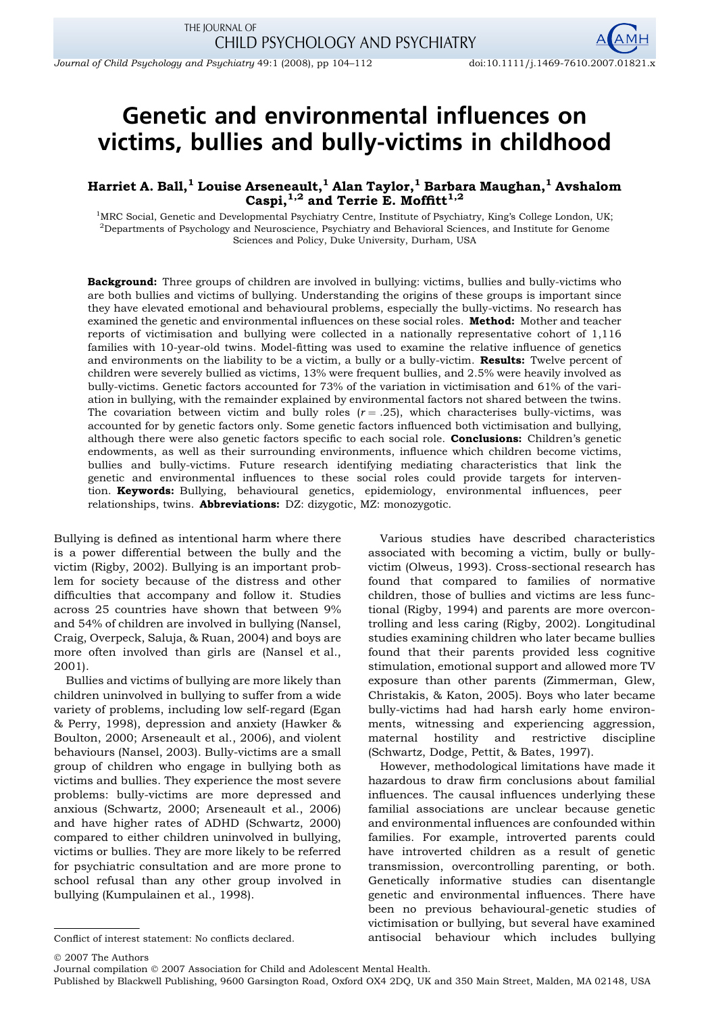Journal of Child Psychology and Psychiatry 49:1 (2008), pp 104–112 doi:10.1111/j.1469-7610.2007.01821.x

# Genetic and environmental influences on victims, bullies and bully-victims in childhood

Harriet A. Ball,<sup>1</sup> Louise Arseneault,<sup>1</sup> Alan Taylor,<sup>1</sup> Barbara Maughan,<sup>1</sup> Avshalom Caspi,  $^{1,2}$  and Terrie E. Moffitt<sup>1,2</sup>

<sup>1</sup>MRC Social, Genetic and Developmental Psychiatry Centre, Institute of Psychiatry, King's College London, UK;  $^2$ Departments of Psychology and Neuroscience, Psychiatry and Behavioral Sciences, and Institute for Genome Sciences and Policy, Duke University, Durham, USA

Background: Three groups of children are involved in bullying: victims, bullies and bully-victims who are both bullies and victims of bullying. Understanding the origins of these groups is important since they have elevated emotional and behavioural problems, especially the bully-victims. No research has examined the genetic and environmental influences on these social roles. **Method:** Mother and teacher reports of victimisation and bullying were collected in a nationally representative cohort of 1,116 families with 10-year-old twins. Model-fitting was used to examine the relative influence of genetics and environments on the liability to be a victim, a bully or a bully-victim. Results: Twelve percent of children were severely bullied as victims, 13% were frequent bullies, and 2.5% were heavily involved as bully-victims. Genetic factors accounted for 73% of the variation in victimisation and 61% of the variation in bullying, with the remainder explained by environmental factors not shared between the twins. The covariation between victim and bully roles  $(r = .25)$ , which characterises bully-victims, was accounted for by genetic factors only. Some genetic factors influenced both victimisation and bullying, although there were also genetic factors specific to each social role. Conclusions: Children's genetic endowments, as well as their surrounding environments, influence which children become victims, bullies and bully-victims. Future research identifying mediating characteristics that link the genetic and environmental influences to these social roles could provide targets for intervention. Keywords: Bullying, behavioural genetics, epidemiology, environmental influences, peer relationships, twins. Abbreviations: DZ: dizygotic, MZ: monozygotic.

Bullying is defined as intentional harm where there is a power differential between the bully and the victim (Rigby, 2002). Bullying is an important problem for society because of the distress and other difficulties that accompany and follow it. Studies across 25 countries have shown that between 9% and 54% of children are involved in bullying (Nansel, Craig, Overpeck, Saluja, & Ruan, 2004) and boys are more often involved than girls are (Nansel et al., 2001).

Bullies and victims of bullying are more likely than children uninvolved in bullying to suffer from a wide variety of problems, including low self-regard (Egan & Perry, 1998), depression and anxiety (Hawker & Boulton, 2000; Arseneault et al., 2006), and violent behaviours (Nansel, 2003). Bully-victims are a small group of children who engage in bullying both as victims and bullies. They experience the most severe problems: bully-victims are more depressed and anxious (Schwartz, 2000; Arseneault et al., 2006) and have higher rates of ADHD (Schwartz, 2000) compared to either children uninvolved in bullying, victims or bullies. They are more likely to be referred for psychiatric consultation and are more prone to school refusal than any other group involved in bullying (Kumpulainen et al., 1998).

Various studies have described characteristics associated with becoming a victim, bully or bullyvictim (Olweus, 1993). Cross-sectional research has found that compared to families of normative children, those of bullies and victims are less functional (Rigby, 1994) and parents are more overcontrolling and less caring (Rigby, 2002). Longitudinal studies examining children who later became bullies found that their parents provided less cognitive stimulation, emotional support and allowed more TV exposure than other parents (Zimmerman, Glew, Christakis, & Katon, 2005). Boys who later became bully-victims had had harsh early home environments, witnessing and experiencing aggression, maternal hostility and restrictive discipline (Schwartz, Dodge, Pettit, & Bates, 1997).

However, methodological limitations have made it hazardous to draw firm conclusions about familial influences. The causal influences underlying these familial associations are unclear because genetic and environmental influences are confounded within families. For example, introverted parents could have introverted children as a result of genetic transmission, overcontrolling parenting, or both. Genetically informative studies can disentangle genetic and environmental influences. There have been no previous behavioural-genetic studies of victimisation or bullying, but several have examined Conflict of interest statement: No conflicts declared. antisocial behaviour which includes bullying

© 2007 The Authors

Journal compilation © 2007 Association for Child and Adolescent Mental Health.

Published by Blackwell Publishing, 9600 Garsington Road, Oxford OX4 2DQ, UK and 350 Main Street, Malden, MA 02148, USA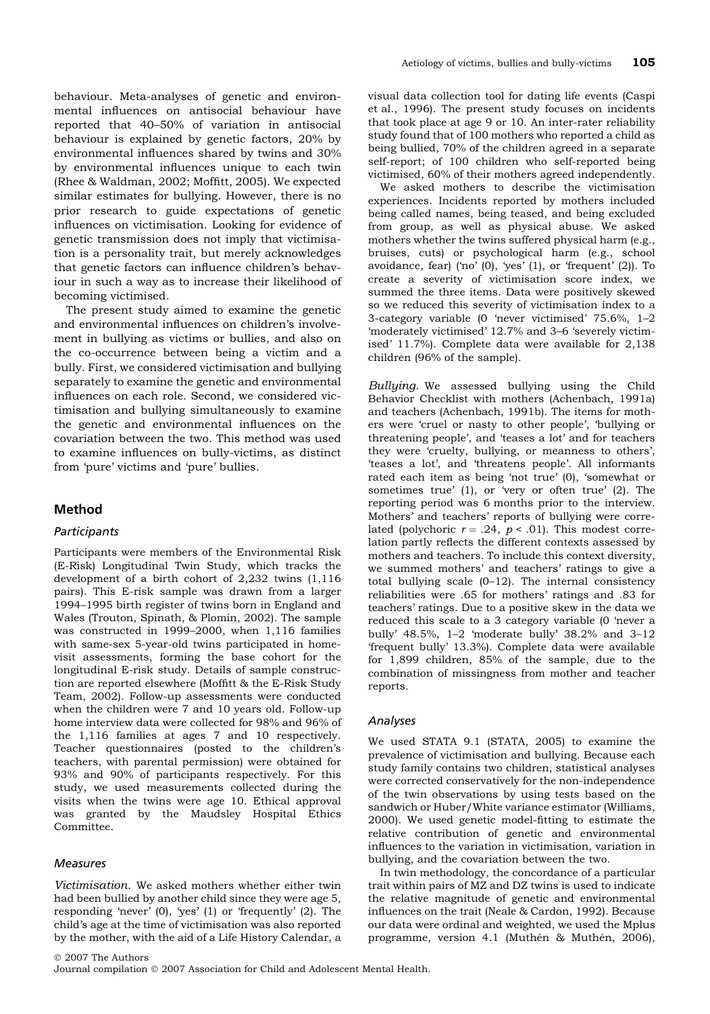behaviour. Meta-analyses of genetic and environmental influences on antisocial behaviour have reported that 40–50% of variation in antisocial behaviour is explained by genetic factors, 20% by environmental influences shared by twins and 30% by environmental influences unique to each twin (Rhee & Waldman, 2002; Moffitt, 2005). We expected similar estimates for bullying. However, there is no prior research to guide expectations of genetic influences on victimisation. Looking for evidence of genetic transmission does not imply that victimisation is a personality trait, but merely acknowledges that genetic factors can influence children's behaviour in such a way as to increase their likelihood of becoming victimised.

The present study aimed to examine the genetic and environmental influences on children's involvement in bullying as victims or bullies, and also on the co-occurrence between being a victim and a bully. First, we considered victimisation and bullying separately to examine the genetic and environmental influences on each role. Second, we considered victimisation and bullying simultaneously to examine the genetic and environmental influences on the covariation between the two. This method was used to examine influences on bully-victims, as distinct from 'pure' victims and 'pure' bullies.

## Method

#### **Participants**

Participants were members of the Environmental Risk (E-Risk) Longitudinal Twin Study, which tracks the development of a birth cohort of 2,232 twins (1,116 pairs). This E-risk sample was drawn from a larger 1994–1995 birth register of twins born in England and Wales (Trouton, Spinath, & Plomin, 2002). The sample was constructed in 1999–2000, when 1,116 families with same-sex 5-year-old twins participated in homevisit assessments, forming the base cohort for the longitudinal E-risk study. Details of sample construction are reported elsewhere (Moffitt & the E-Risk Study Team, 2002). Follow-up assessments were conducted when the children were 7 and 10 years old. Follow-up home interview data were collected for 98% and 96% of the 1,116 families at ages 7 and 10 respectively. Teacher questionnaires (posted to the children's teachers, with parental permission) were obtained for 93% and 90% of participants respectively. For this study, we used measurements collected during the visits when the twins were age 10. Ethical approval was granted by the Maudsley Hospital Ethics Committee.

#### Measures

Victimisation. We asked mothers whether either twin had been bullied by another child since they were age 5, responding 'never' (0), 'yes' (1) or 'frequently' (2). The child's age at the time of victimisation was also reported by the mother, with the aid of a Life History Calendar, a

visual data collection tool for dating life events (Caspi et al., 1996). The present study focuses on incidents that took place at age 9 or 10. An inter-rater reliability study found that of 100 mothers who reported a child as being bullied, 70% of the children agreed in a separate self-report; of 100 children who self-reported being victimised, 60% of their mothers agreed independently.

We asked mothers to describe the victimisation experiences. Incidents reported by mothers included being called names, being teased, and being excluded from group, as well as physical abuse. We asked mothers whether the twins suffered physical harm (e.g., bruises, cuts) or psychological harm (e.g., school avoidance, fear) ('no' (0), 'yes' (1), or 'frequent' (2)). To create a severity of victimisation score index, we summed the three items. Data were positively skewed so we reduced this severity of victimisation index to a 3-category variable (0 'never victimised' 75.6%, 1–2 'moderately victimised' 12.7% and 3–6 'severely victimised' 11.7%). Complete data were available for 2,138 children (96% of the sample).

Bullying. We assessed bullying using the Child Behavior Checklist with mothers (Achenbach, 1991a) and teachers (Achenbach, 1991b). The items for mothers were 'cruel or nasty to other people', 'bullying or threatening people', and 'teases a lot' and for teachers they were 'cruelty, bullying, or meanness to others', 'teases a lot', and 'threatens people'. All informants rated each item as being 'not true' (0), 'somewhat or sometimes true' (1), or 'very or often true' (2). The reporting period was 6 months prior to the interview. Mothers' and teachers' reports of bullying were correlated (polychoric  $r = .24$ ,  $p < .01$ ). This modest correlation partly reflects the different contexts assessed by mothers and teachers. To include this context diversity, we summed mothers' and teachers' ratings to give a total bullying scale (0–12). The internal consistency reliabilities were .65 for mothers' ratings and .83 for teachers' ratings. Due to a positive skew in the data we reduced this scale to a 3 category variable (0 'never a bully' 48.5%, 1–2 'moderate bully' 38.2% and 3–12 'frequent bully' 13.3%). Complete data were available for 1,899 children, 85% of the sample, due to the combination of missingness from mother and teacher reports.

#### Analyses

We used STATA 9.1 (STATA, 2005) to examine the prevalence of victimisation and bullying. Because each study family contains two children, statistical analyses were corrected conservatively for the non-independence of the twin observations by using tests based on the sandwich or Huber/White variance estimator (Williams, 2000). We used genetic model-fitting to estimate the relative contribution of genetic and environmental influences to the variation in victimisation, variation in bullying, and the covariation between the two.

In twin methodology, the concordance of a particular trait within pairs of MZ and DZ twins is used to indicate the relative magnitude of genetic and environmental influences on the trait (Neale & Cardon, 1992). Because our data were ordinal and weighted, we used the Mplus programme, version 4.1 (Muthén & Muthén, 2006),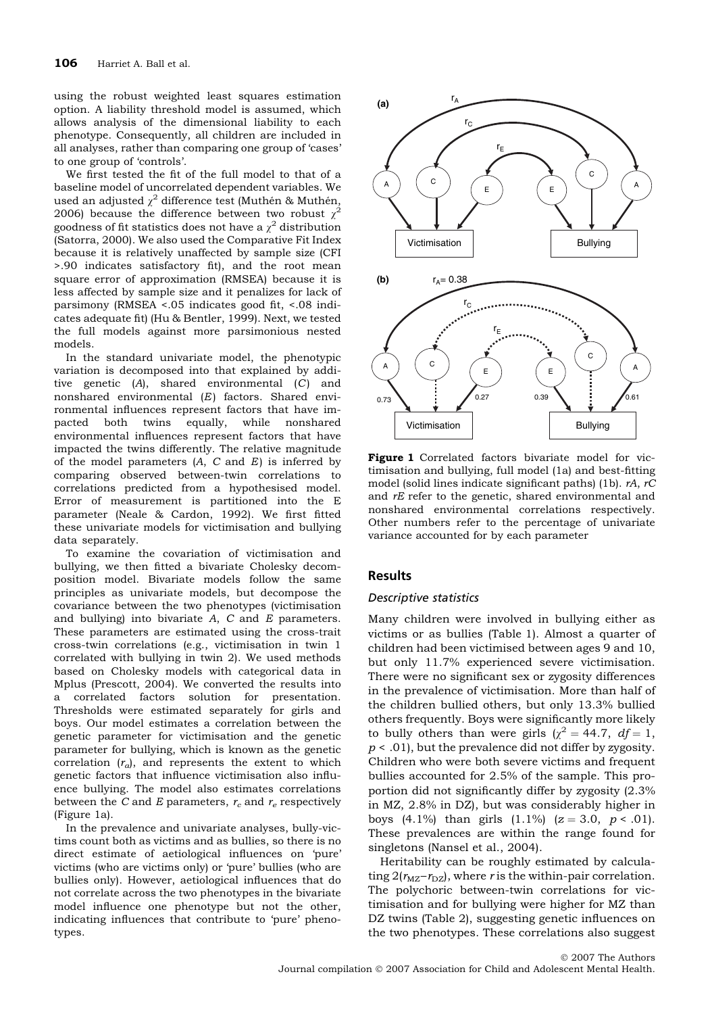using the robust weighted least squares estimation option. A liability threshold model is assumed, which allows analysis of the dimensional liability to each phenotype. Consequently, all children are included in all analyses, rather than comparing one group of 'cases' to one group of 'controls'.

We first tested the fit of the full model to that of a baseline model of uncorrelated dependent variables. We used an adjusted  $\chi^2$  difference test (Muthén & Muthén, 2006) because the difference between two robust  $\gamma^2$ goodness of fit statistics does not have a  $\chi^2$  distribution (Satorra, 2000). We also used the Comparative Fit Index because it is relatively unaffected by sample size (CFI >.90 indicates satisfactory fit), and the root mean square error of approximation (RMSEA) because it is less affected by sample size and it penalizes for lack of parsimony (RMSEA <.05 indicates good fit, <.08 indicates adequate fit) (Hu & Bentler, 1999). Next, we tested the full models against more parsimonious nested models.

In the standard univariate model, the phenotypic variation is decomposed into that explained by additive genetic  $(A)$ , shared environmental  $(C)$  and nonshared environmental  $(E)$  factors. Shared environmental influences represent factors that have impacted both twins equally, while nonshared environmental influences represent factors that have impacted the twins differently. The relative magnitude of the model parameters  $(A, C \text{ and } E)$  is inferred by comparing observed between-twin correlations to correlations predicted from a hypothesised model. Error of measurement is partitioned into the E parameter (Neale & Cardon, 1992). We first fitted these univariate models for victimisation and bullying data separately.

To examine the covariation of victimisation and bullying, we then fitted a bivariate Cholesky decomposition model. Bivariate models follow the same principles as univariate models, but decompose the covariance between the two phenotypes (victimisation and bullying) into bivariate  $A$ ,  $C$  and  $E$  parameters. These parameters are estimated using the cross-trait cross-twin correlations (e.g., victimisation in twin 1 correlated with bullying in twin 2). We used methods based on Cholesky models with categorical data in Mplus (Prescott, 2004). We converted the results into a correlated factors solution for presentation. Thresholds were estimated separately for girls and boys. Our model estimates a correlation between the genetic parameter for victimisation and the genetic parameter for bullying, which is known as the genetic correlation  $(r_a)$ , and represents the extent to which genetic factors that influence victimisation also influence bullying. The model also estimates correlations between the C and E parameters,  $r_c$  and  $r_e$  respectively (Figure 1a).

In the prevalence and univariate analyses, bully-victims count both as victims and as bullies, so there is no direct estimate of aetiological influences on 'pure' victims (who are victims only) or 'pure' bullies (who are bullies only). However, aetiological influences that do not correlate across the two phenotypes in the bivariate model influence one phenotype but not the other, indicating influences that contribute to 'pure' phenotypes.



Figure 1 Correlated factors bivariate model for victimisation and bullying, full model (1a) and best-fitting model (solid lines indicate significant paths) (1b). rA, rC and  $rE$  refer to the genetic, shared environmental and nonshared environmental correlations respectively. Other numbers refer to the percentage of univariate variance accounted for by each parameter

#### Results

#### Descriptive statistics

Many children were involved in bullying either as victims or as bullies (Table 1). Almost a quarter of children had been victimised between ages 9 and 10, but only 11.7% experienced severe victimisation. There were no significant sex or zygosity differences in the prevalence of victimisation. More than half of the children bullied others, but only 13.3% bullied others frequently. Boys were significantly more likely to bully others than were girls  $\gamma^2 = 44.7$ ,  $df = 1$ ,  $p < .01$ , but the prevalence did not differ by zygosity. Children who were both severe victims and frequent bullies accounted for 2.5% of the sample. This proportion did not significantly differ by zygosity (2.3% in MZ, 2.8% in DZ), but was considerably higher in boys (4.1%) than girls  $(1.1\%)$   $(z = 3.0, p < .01)$ . These prevalences are within the range found for singletons (Nansel et al., 2004).

Heritability can be roughly estimated by calculating  $2(r_{\rm MZ}-r_{\rm DZ})$ , where *r* is the within-pair correlation. The polychoric between-twin correlations for victimisation and for bullying were higher for MZ than DZ twins (Table 2), suggesting genetic influences on the two phenotypes. These correlations also suggest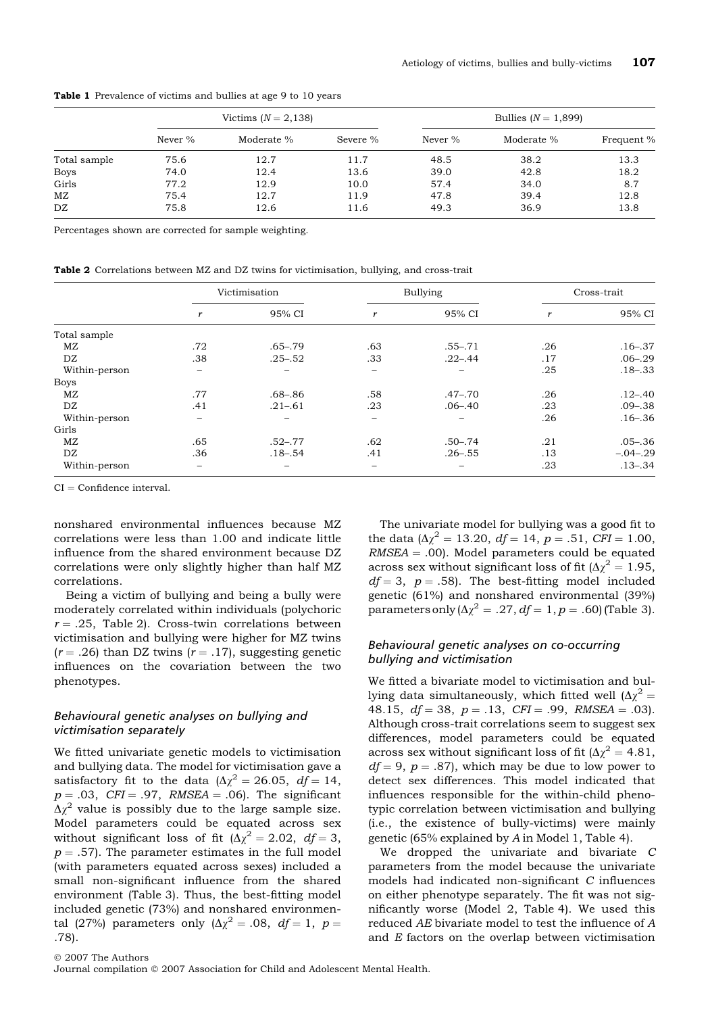|              |         | Victims $(N = 2, 138)$ |          | Bullies $(N = 1,899)$ |            |            |  |  |
|--------------|---------|------------------------|----------|-----------------------|------------|------------|--|--|
|              | Never % | Moderate %             | Severe % | Never $\%$            | Moderate % | Frequent % |  |  |
| Total sample | 75.6    | 12.7                   | 11.7     | 48.5                  | 38.2       | 13.3       |  |  |
| <b>Boys</b>  | 74.0    | 12.4                   | 13.6     | 39.0                  | 42.8       | 18.2       |  |  |
| Girls        | 77.2    | 12.9                   | 10.0     | 57.4                  | 34.0       | 8.7        |  |  |
| MZ           | 75.4    | 12.7                   | 11.9     | 47.8                  | 39.4       | 12.8       |  |  |
| DZ           | 75.8    | 12.6                   | 11.6     | 49.3                  | 36.9       | 13.8       |  |  |

Table 1 Prevalence of victims and bullies at age 9 to 10 years

Percentages shown are corrected for sample weighting.

Table 2 Correlations between MZ and DZ twins for victimisation, bullying, and cross-trait

|               | Victimisation |             |     | <b>Bullying</b>          | Cross-trait      |             |  |
|---------------|---------------|-------------|-----|--------------------------|------------------|-------------|--|
|               | r             | 95% CI      |     | 95% CI                   | $\boldsymbol{r}$ | 95% CI      |  |
| Total sample  |               |             |     |                          |                  |             |  |
| MZ            | .72           | $.65 - .79$ | .63 | $.55 - .71$              | .26              | $.16 - .37$ |  |
| DZ            | .38           | $.25 - .52$ | .33 | $.22 - .44$              | .17              | $.06 - .29$ |  |
| Within-person |               |             |     |                          | .25              | $.18 - .33$ |  |
| <b>Boys</b>   |               |             |     |                          |                  |             |  |
| MZ            | .77           | $.68 - .86$ | .58 | $.47 - .70$              | .26              | $.12 - .40$ |  |
| DZ            | .41           | $.21 - .61$ | .23 | $.06 - .40$              | .23              | $.09 - .38$ |  |
| Within-person | —             |             |     | $\overline{\phantom{0}}$ | .26              | $.16 - .36$ |  |
| Girls         |               |             |     |                          |                  |             |  |
| MZ            | .65           | $.52 - .77$ | .62 | $.50 - .74$              | .21              | $.05 - .36$ |  |
| DZ            | .36           | $.18 - .54$ | .41 | $.26 - .55$              | .13              | $-.04-.29$  |  |
| Within-person |               |             |     |                          | .23              | $.13 - .34$ |  |

 $CI =$  Confidence interval.

nonshared environmental influences because MZ correlations were less than 1.00 and indicate little influence from the shared environment because DZ correlations were only slightly higher than half MZ correlations.

Being a victim of bullying and being a bully were moderately correlated within individuals (polychoric  $r = .25$ , Table 2). Cross-twin correlations between victimisation and bullying were higher for MZ twins  $(r = .26)$  than DZ twins  $(r = .17)$ , suggesting genetic influences on the covariation between the two phenotypes.

## Behavioural genetic analyses on bullying and victimisation separately

We fitted univariate genetic models to victimisation and bullying data. The model for victimisation gave a satisfactory fit to the data  $(\Delta \chi^2 = 26.05, df = 14,$  $p = .03$ , CFI = .97, RMSEA = .06). The significant  $\Delta \chi^2$  value is possibly due to the large sample size. Model parameters could be equated across sex without significant loss of fit ( $\Delta \chi^2 = 2.02$ ,  $df = 3$ ,  $p = .57$ ). The parameter estimates in the full model (with parameters equated across sexes) included a small non-significant influence from the shared environment (Table 3). Thus, the best-fitting model included genetic (73%) and nonshared environmental (27%) parameters only ( $\Delta \chi^2 = .08$ ,  $df = 1$ ,  $p =$ .78).

The univariate model for bullying was a good fit to the data ( $\Delta \chi^2 = 13.20$ ,  $df = 14$ ,  $p = .51$ , CFI = 1.00,  $RMSEA = .00$ . Model parameters could be equated across sex without significant loss of fit  $(\Delta \chi^2 = 1.95,$  $df = 3$ ,  $p = .58$ ). The best-fitting model included genetic (61%) and nonshared environmental (39%) parameters only  $(\Delta \chi^2 = .27, df = 1, p = .60)$  (Table 3).

### Behavioural genetic analyses on co-occurring bullying and victimisation

We fitted a bivariate model to victimisation and bullying data simultaneously, which fitted well  $(\Delta \chi^2 =$ 48.15,  $df = 38$ ,  $p = .13$ ,  $CFI = .99$ ,  $RMSEA = .03$ . Although cross-trait correlations seem to suggest sex differences, model parameters could be equated across sex without significant loss of fit  $(\Delta \chi^2 = 4.81,$  $df = 9$ ,  $p = .87$ , which may be due to low power to detect sex differences. This model indicated that influences responsible for the within-child phenotypic correlation between victimisation and bullying (i.e., the existence of bully-victims) were mainly genetic (65% explained by A in Model 1, Table 4).

We dropped the univariate and bivariate C parameters from the model because the univariate models had indicated non-significant C influences on either phenotype separately. The fit was not significantly worse (Model 2, Table 4). We used this reduced AE bivariate model to test the influence of A and E factors on the overlap between victimisation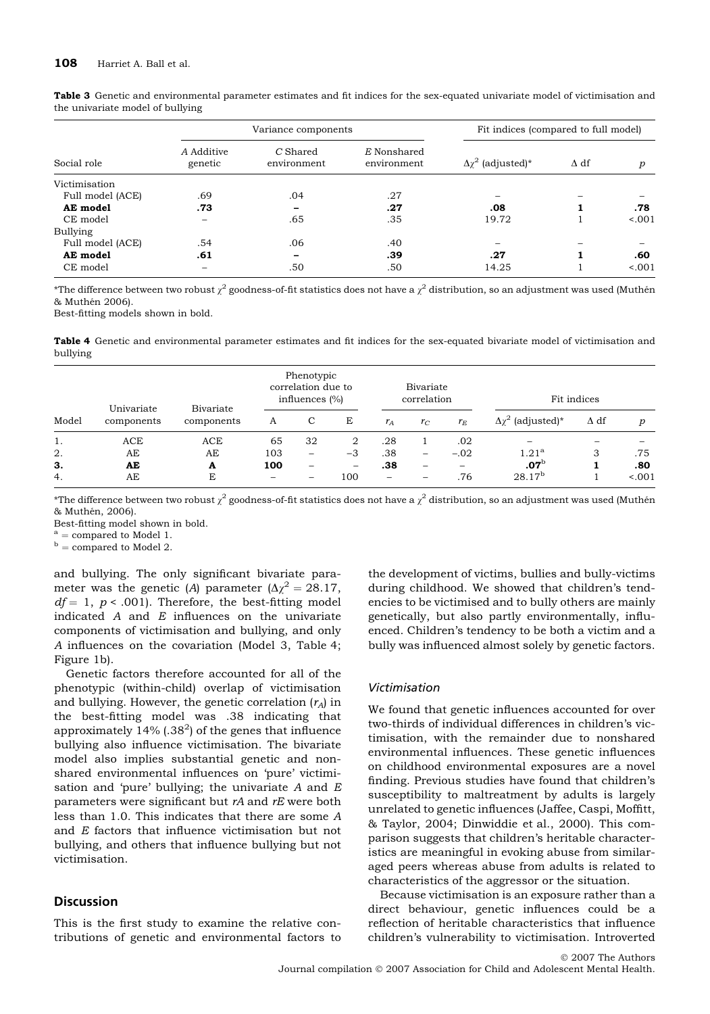|                  |                       | Variance components     | Fit indices (compared to full model) |                                        |             |        |
|------------------|-----------------------|-------------------------|--------------------------------------|----------------------------------------|-------------|--------|
| Social role      | A Additive<br>genetic | C Shared<br>environment | E Nonshared<br>environment           | $\Delta\chi^2$ (adjusted) <sup>*</sup> | $\Delta df$ | р      |
| Victimisation    |                       |                         |                                      |                                        |             |        |
| Full model (ACE) | .69                   | .04                     | .27                                  |                                        |             |        |
| AE model         | .73                   |                         | .27                                  | .08                                    |             | .78    |
| CE model         |                       | .65                     | .35                                  | 19.72                                  |             | < .001 |
| <b>Bullying</b>  |                       |                         |                                      |                                        |             |        |
| Full model (ACE) | .54                   | .06                     | .40                                  |                                        |             |        |
| AE model         | .61                   |                         | .39                                  | .27                                    |             | .60    |
| CE model         |                       | .50                     | .50                                  | 14.25                                  |             | < .001 |

Table 3 Genetic and environmental parameter estimates and fit indices for the sex-equated univariate model of victimisation and the univariate model of bullying

\*The difference between two robust  $\chi^2$  goodness-of-fit statistics does not have a  $\chi^2$  distribution, so an adjustment was used (Muthén & Muthén 2006).

Best-fitting models shown in bold.

Table 4 Genetic and environmental parameter estimates and fit indices for the sex-equated bivariate model of victimisation and bullying

| Model | Univariate<br>components | Bivariate<br>components | Phenotypic<br>correlation due to<br>influences $(\% )$ |    | Bivariate<br>correlation |                          | Fit indices              |                          |                                        |             |        |
|-------|--------------------------|-------------------------|--------------------------------------------------------|----|--------------------------|--------------------------|--------------------------|--------------------------|----------------------------------------|-------------|--------|
|       |                          |                         | A                                                      | C  | E                        | $r_A$                    | $r_{C}$                  | $r_E$                    | $\Delta\chi^2$ (adjusted) <sup>*</sup> | $\Delta df$ | p      |
| 1.    | ACE                      | <b>ACE</b>              | 65                                                     | 32 | 2                        | .28                      |                          | .02                      | $\overline{\phantom{0}}$               |             |        |
| 2.    | AE                       | AE                      | 103                                                    | -  | $-3$                     | .38                      | $\overline{\phantom{0}}$ | $-.02$                   | 1.21 <sup>a</sup>                      | 3           | .75    |
| 3.    | AE                       | A                       | 100                                                    | -  |                          | .38                      | -                        | $\overline{\phantom{m}}$ | .07 <sup>b</sup>                       |             | .80    |
| 4.    | AE                       | E                       |                                                        | -  | 100                      | $\overline{\phantom{m}}$ | –                        | .76                      | $28.17^{b}$                            |             | < .001 |

\*The difference between two robust  $\chi^2$  goodness-of-fit statistics does not have a  $\chi^2$  distribution, so an adjustment was used (Muthén & Muthe´n, 2006).

Best-fitting model shown in bold.

 $a =$  compared to Model 1.<br> $b =$  compared to Model 2.

and bullying. The only significant bivariate parameter was the genetic (A) parameter ( $\Delta \chi^2 = 28.17$ ,  $df = 1$ ,  $p < .001$ ). Therefore, the best-fitting model indicated  $A$  and  $E$  influences on the univariate components of victimisation and bullying, and only A influences on the covariation (Model 3, Table 4; Figure 1b).

Genetic factors therefore accounted for all of the phenotypic (within-child) overlap of victimisation and bullying. However, the genetic correlation  $(r_A)$  in the best-fitting model was .38 indicating that approximately 14% (.38 $^2$ ) of the genes that influence bullying also influence victimisation. The bivariate model also implies substantial genetic and nonshared environmental influences on 'pure' victimisation and 'pure' bullying; the univariate  $A$  and  $E$ parameters were significant but  $rA$  and  $rE$  were both less than 1.0. This indicates that there are some A and E factors that influence victimisation but not bullying, and others that influence bullying but not victimisation.

#### **Discussion**

This is the first study to examine the relative contributions of genetic and environmental factors to the development of victims, bullies and bully-victims during childhood. We showed that children's tendencies to be victimised and to bully others are mainly genetically, but also partly environmentally, influenced. Children's tendency to be both a victim and a bully was influenced almost solely by genetic factors.

#### Victimisation

We found that genetic influences accounted for over two-thirds of individual differences in children's victimisation, with the remainder due to nonshared environmental influences. These genetic influences on childhood environmental exposures are a novel finding. Previous studies have found that children's susceptibility to maltreatment by adults is largely unrelated to genetic influences (Jaffee, Caspi, Moffitt, & Taylor, 2004; Dinwiddie et al., 2000). This comparison suggests that children's heritable characteristics are meaningful in evoking abuse from similaraged peers whereas abuse from adults is related to characteristics of the aggressor or the situation.

Because victimisation is an exposure rather than a direct behaviour, genetic influences could be a reflection of heritable characteristics that influence children's vulnerability to victimisation. Introverted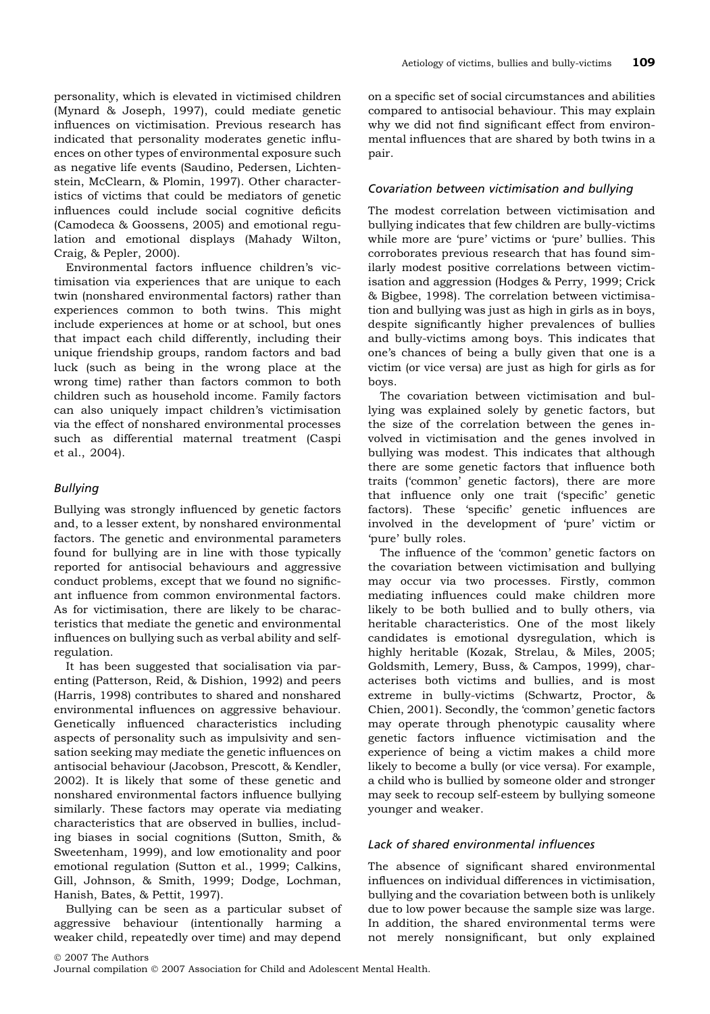personality, which is elevated in victimised children (Mynard & Joseph, 1997), could mediate genetic influences on victimisation. Previous research has indicated that personality moderates genetic influences on other types of environmental exposure such as negative life events (Saudino, Pedersen, Lichtenstein, McClearn, & Plomin, 1997). Other characteristics of victims that could be mediators of genetic influences could include social cognitive deficits (Camodeca & Goossens, 2005) and emotional regulation and emotional displays (Mahady Wilton, Craig, & Pepler, 2000).

Environmental factors influence children's victimisation via experiences that are unique to each twin (nonshared environmental factors) rather than experiences common to both twins. This might include experiences at home or at school, but ones that impact each child differently, including their unique friendship groups, random factors and bad luck (such as being in the wrong place at the wrong time) rather than factors common to both children such as household income. Family factors can also uniquely impact children's victimisation via the effect of nonshared environmental processes such as differential maternal treatment (Caspi et al., 2004).

## Bullying

Bullying was strongly influenced by genetic factors and, to a lesser extent, by nonshared environmental factors. The genetic and environmental parameters found for bullying are in line with those typically reported for antisocial behaviours and aggressive conduct problems, except that we found no significant influence from common environmental factors. As for victimisation, there are likely to be characteristics that mediate the genetic and environmental influences on bullying such as verbal ability and selfregulation.

It has been suggested that socialisation via parenting (Patterson, Reid, & Dishion, 1992) and peers (Harris, 1998) contributes to shared and nonshared environmental influences on aggressive behaviour. Genetically influenced characteristics including aspects of personality such as impulsivity and sensation seeking may mediate the genetic influences on antisocial behaviour (Jacobson, Prescott, & Kendler, 2002). It is likely that some of these genetic and nonshared environmental factors influence bullying similarly. These factors may operate via mediating characteristics that are observed in bullies, including biases in social cognitions (Sutton, Smith, & Sweetenham, 1999), and low emotionality and poor emotional regulation (Sutton et al., 1999; Calkins, Gill, Johnson, & Smith, 1999; Dodge, Lochman, Hanish, Bates, & Pettit, 1997).

Bullying can be seen as a particular subset of aggressive behaviour (intentionally harming a weaker child, repeatedly over time) and may depend on a specific set of social circumstances and abilities compared to antisocial behaviour. This may explain why we did not find significant effect from environmental influences that are shared by both twins in a pair.

#### Covariation between victimisation and bullying

The modest correlation between victimisation and bullying indicates that few children are bully-victims while more are 'pure' victims or 'pure' bullies. This corroborates previous research that has found similarly modest positive correlations between victimisation and aggression (Hodges & Perry, 1999; Crick & Bigbee, 1998). The correlation between victimisation and bullying was just as high in girls as in boys, despite significantly higher prevalences of bullies and bully-victims among boys. This indicates that one's chances of being a bully given that one is a victim (or vice versa) are just as high for girls as for boys.

The covariation between victimisation and bullying was explained solely by genetic factors, but the size of the correlation between the genes involved in victimisation and the genes involved in bullying was modest. This indicates that although there are some genetic factors that influence both traits ('common' genetic factors), there are more that influence only one trait ('specific' genetic factors). These 'specific' genetic influences are involved in the development of 'pure' victim or 'pure' bully roles.

The influence of the 'common' genetic factors on the covariation between victimisation and bullying may occur via two processes. Firstly, common mediating influences could make children more likely to be both bullied and to bully others, via heritable characteristics. One of the most likely candidates is emotional dysregulation, which is highly heritable (Kozak, Strelau, & Miles, 2005; Goldsmith, Lemery, Buss, & Campos, 1999), characterises both victims and bullies, and is most extreme in bully-victims (Schwartz, Proctor, & Chien, 2001). Secondly, the 'common' genetic factors may operate through phenotypic causality where genetic factors influence victimisation and the experience of being a victim makes a child more likely to become a bully (or vice versa). For example, a child who is bullied by someone older and stronger may seek to recoup self-esteem by bullying someone younger and weaker.

#### Lack of shared environmental influences

The absence of significant shared environmental influences on individual differences in victimisation, bullying and the covariation between both is unlikely due to low power because the sample size was large. In addition, the shared environmental terms were not merely nonsignificant, but only explained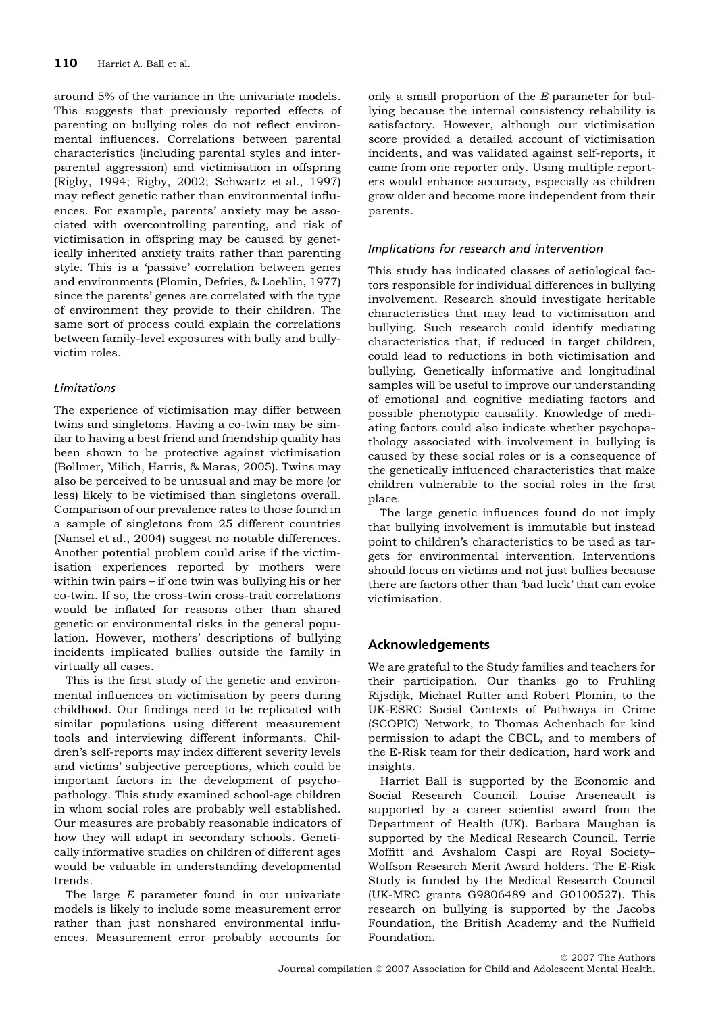around 5% of the variance in the univariate models. This suggests that previously reported effects of parenting on bullying roles do not reflect environmental influences. Correlations between parental characteristics (including parental styles and interparental aggression) and victimisation in offspring (Rigby, 1994; Rigby, 2002; Schwartz et al., 1997) may reflect genetic rather than environmental influences. For example, parents' anxiety may be associated with overcontrolling parenting, and risk of victimisation in offspring may be caused by genetically inherited anxiety traits rather than parenting style. This is a 'passive' correlation between genes and environments (Plomin, Defries, & Loehlin, 1977) since the parents' genes are correlated with the type of environment they provide to their children. The same sort of process could explain the correlations between family-level exposures with bully and bullyvictim roles.

## Limitations

The experience of victimisation may differ between twins and singletons. Having a co-twin may be similar to having a best friend and friendship quality has been shown to be protective against victimisation (Bollmer, Milich, Harris, & Maras, 2005). Twins may also be perceived to be unusual and may be more (or less) likely to be victimised than singletons overall. Comparison of our prevalence rates to those found in a sample of singletons from 25 different countries (Nansel et al., 2004) suggest no notable differences. Another potential problem could arise if the victimisation experiences reported by mothers were within twin pairs – if one twin was bullying his or her co-twin. If so, the cross-twin cross-trait correlations would be inflated for reasons other than shared genetic or environmental risks in the general population. However, mothers' descriptions of bullying incidents implicated bullies outside the family in virtually all cases.

This is the first study of the genetic and environmental influences on victimisation by peers during childhood. Our findings need to be replicated with similar populations using different measurement tools and interviewing different informants. Children's self-reports may index different severity levels and victims' subjective perceptions, which could be important factors in the development of psychopathology. This study examined school-age children in whom social roles are probably well established. Our measures are probably reasonable indicators of how they will adapt in secondary schools. Genetically informative studies on children of different ages would be valuable in understanding developmental trends.

The large E parameter found in our univariate models is likely to include some measurement error rather than just nonshared environmental influences. Measurement error probably accounts for

only a small proportion of the E parameter for bullying because the internal consistency reliability is satisfactory. However, although our victimisation score provided a detailed account of victimisation incidents, and was validated against self-reports, it came from one reporter only. Using multiple reporters would enhance accuracy, especially as children grow older and become more independent from their parents.

## Implications for research and intervention

This study has indicated classes of aetiological factors responsible for individual differences in bullying involvement. Research should investigate heritable characteristics that may lead to victimisation and bullying. Such research could identify mediating characteristics that, if reduced in target children, could lead to reductions in both victimisation and bullying. Genetically informative and longitudinal samples will be useful to improve our understanding of emotional and cognitive mediating factors and possible phenotypic causality. Knowledge of mediating factors could also indicate whether psychopathology associated with involvement in bullying is caused by these social roles or is a consequence of the genetically influenced characteristics that make children vulnerable to the social roles in the first place.

The large genetic influences found do not imply that bullying involvement is immutable but instead point to children's characteristics to be used as targets for environmental intervention. Interventions should focus on victims and not just bullies because there are factors other than 'bad luck' that can evoke victimisation.

## Acknowledgements

We are grateful to the Study families and teachers for their participation. Our thanks go to Fruhling Rijsdijk, Michael Rutter and Robert Plomin, to the UK-ESRC Social Contexts of Pathways in Crime (SCOPIC) Network, to Thomas Achenbach for kind permission to adapt the CBCL, and to members of the E-Risk team for their dedication, hard work and insights.

Harriet Ball is supported by the Economic and Social Research Council. Louise Arseneault is supported by a career scientist award from the Department of Health (UK). Barbara Maughan is supported by the Medical Research Council. Terrie Moffitt and Avshalom Caspi are Royal Society– Wolfson Research Merit Award holders. The E-Risk Study is funded by the Medical Research Council (UK-MRC grants G9806489 and G0100527). This research on bullying is supported by the Jacobs Foundation, the British Academy and the Nuffield Foundation.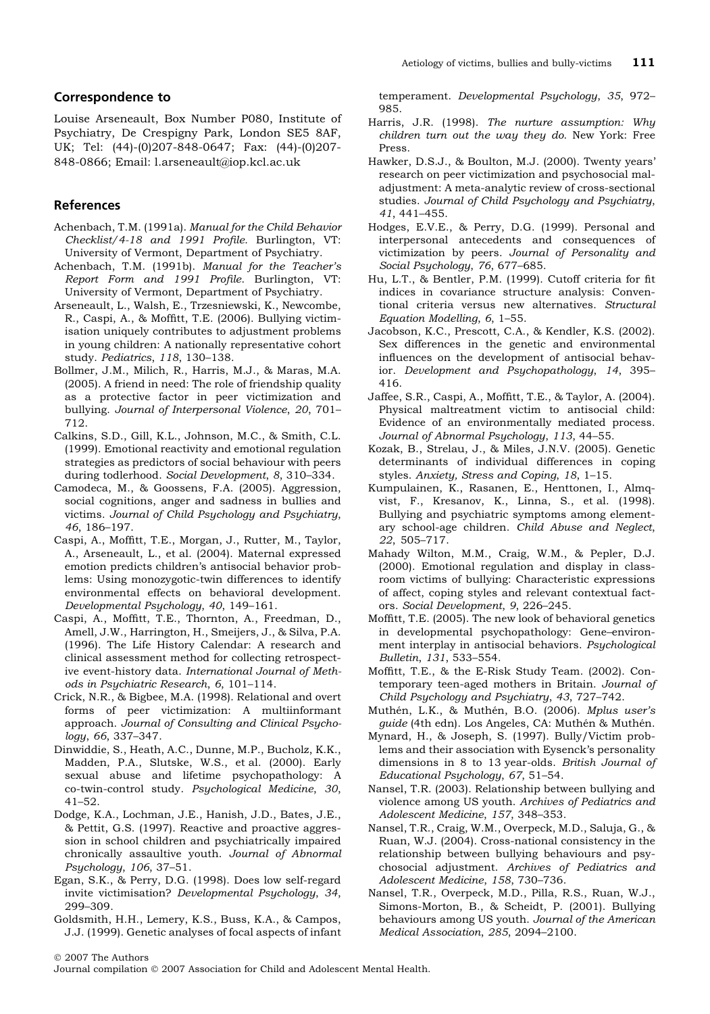Louise Arseneault, Box Number P080, Institute of Psychiatry, De Crespigny Park, London SE5 8AF, UK; Tel: (44)-(0)207-848-0647; Fax: (44)-(0)207- 848-0866; Email: l.arseneault@iop.kcl.ac.uk

#### References

- Achenbach, T.M. (1991a). Manual for the Child Behavior Checklist/4-18 and 1991 Profile. Burlington, VT: University of Vermont, Department of Psychiatry.
- Achenbach, T.M. (1991b). Manual for the Teacher's Report Form and 1991 Profile. Burlington, VT: University of Vermont, Department of Psychiatry.
- Arseneault, L., Walsh, E., Trzesniewski, K., Newcombe, R., Caspi, A., & Moffitt, T.E. (2006). Bullying victimisation uniquely contributes to adjustment problems in young children: A nationally representative cohort study. Pediatrics, 118, 130–138.
- Bollmer, J.M., Milich, R., Harris, M.J., & Maras, M.A. (2005). A friend in need: The role of friendship quality as a protective factor in peer victimization and bullying. Journal of Interpersonal Violence, 20, 701– 712.
- Calkins, S.D., Gill, K.L., Johnson, M.C., & Smith, C.L. (1999). Emotional reactivity and emotional regulation strategies as predictors of social behaviour with peers during todlerhood. Social Development, 8, 310–334.
- Camodeca, M., & Goossens, F.A. (2005). Aggression, social cognitions, anger and sadness in bullies and victims. Journal of Child Psychology and Psychiatry, 46, 186–197.
- Caspi, A., Moffitt, T.E., Morgan, J., Rutter, M., Taylor, A., Arseneault, L., et al. (2004). Maternal expressed emotion predicts children's antisocial behavior problems: Using monozygotic-twin differences to identify environmental effects on behavioral development. Developmental Psychology, 40, 149–161.
- Caspi, A., Moffitt, T.E., Thornton, A., Freedman, D., Amell, J.W., Harrington, H., Smeijers, J., & Silva, P.A. (1996). The Life History Calendar: A research and clinical assessment method for collecting retrospective event-history data. International Journal of Methods in Psychiatric Research, 6, 101–114.
- Crick, N.R., & Bigbee, M.A. (1998). Relational and overt forms of peer victimization: A multiinformant approach. Journal of Consulting and Clinical Psychology, 66, 337–347.
- Dinwiddie, S., Heath, A.C., Dunne, M.P., Bucholz, K.K., Madden, P.A., Slutske, W.S., et al. (2000). Early sexual abuse and lifetime psychopathology: A co-twin-control study. Psychological Medicine, 30,  $41 - 52$ .
- Dodge, K.A., Lochman, J.E., Hanish, J.D., Bates, J.E., & Pettit, G.S. (1997). Reactive and proactive aggression in school children and psychiatrically impaired chronically assaultive youth. Journal of Abnormal Psychology, 106, 37–51.
- Egan, S.K., & Perry, D.G. (1998). Does low self-regard invite victimisation? Developmental Psychology, 34, 299–309.
- Goldsmith, H.H., Lemery, K.S., Buss, K.A., & Campos, J.J. (1999). Genetic analyses of focal aspects of infant

temperament. Developmental Psychology, 35, 972– 985.

- Harris, J.R. (1998). The nurture assumption: Why children turn out the way they do. New York: Free Press.
- Hawker, D.S.J., & Boulton, M.J. (2000). Twenty years' research on peer victimization and psychosocial maladjustment: A meta-analytic review of cross-sectional studies. Journal of Child Psychology and Psychiatry, 41, 441–455.
- Hodges, E.V.E., & Perry, D.G. (1999). Personal and interpersonal antecedents and consequences of victimization by peers. Journal of Personality and Social Psychology, 76, 677–685.
- Hu, L.T., & Bentler, P.M. (1999). Cutoff criteria for fit indices in covariance structure analysis: Conventional criteria versus new alternatives. Structural Equation Modelling, 6, 1–55.
- Jacobson, K.C., Prescott, C.A., & Kendler, K.S. (2002). Sex differences in the genetic and environmental influences on the development of antisocial behavior. Development and Psychopathology, 14, 395– 416.
- Jaffee, S.R., Caspi, A., Moffitt, T.E., & Taylor, A. (2004). Physical maltreatment victim to antisocial child: Evidence of an environmentally mediated process. Journal of Abnormal Psychology, 113, 44–55.
- Kozak, B., Strelau, J., & Miles, J.N.V. (2005). Genetic determinants of individual differences in coping styles. Anxiety, Stress and Coping, 18, 1–15.
- Kumpulainen, K., Rasanen, E., Henttonen, I., Almqvist, F., Kresanov, K., Linna, S., et al. (1998). Bullying and psychiatric symptoms among elementary school-age children. Child Abuse and Neglect, 22, 505–717.
- Mahady Wilton, M.M., Craig, W.M., & Pepler, D.J. (2000). Emotional regulation and display in classroom victims of bullying: Characteristic expressions of affect, coping styles and relevant contextual factors. Social Development, 9, 226–245.
- Moffitt, T.E. (2005). The new look of behavioral genetics in developmental psychopathology: Gene–environment interplay in antisocial behaviors. Psychological Bulletin, 131, 533–554.
- Moffitt, T.E., & the E-Risk Study Team. (2002). Contemporary teen-aged mothers in Britain. Journal of Child Psychology and Psychiatry, 43, 727–742.
- Muthén, L.K., & Muthén, B.O. (2006). Mplus user's guide (4th edn). Los Angeles, CA: Muthén & Muthén.
- Mynard, H., & Joseph, S. (1997). Bully/Victim problems and their association with Eysenck's personality dimensions in 8 to 13 year-olds. British Journal of Educational Psychology, 67, 51–54.
- Nansel, T.R. (2003). Relationship between bullying and violence among US youth. Archives of Pediatrics and Adolescent Medicine, 157, 348–353.
- Nansel, T.R., Craig, W.M., Overpeck, M.D., Saluja, G., & Ruan, W.J. (2004). Cross-national consistency in the relationship between bullying behaviours and psychosocial adjustment. Archives of Pediatrics and Adolescent Medicine, 158, 730–736.
- Nansel, T.R., Overpeck, M.D., Pilla, R.S., Ruan, W.J., Simons-Morton, B., & Scheidt, P. (2001). Bullying behaviours among US youth. Journal of the American Medical Association, 285, 2094–2100.

© 2007 The Authors

Journal compilation © 2007 Association for Child and Adolescent Mental Health.